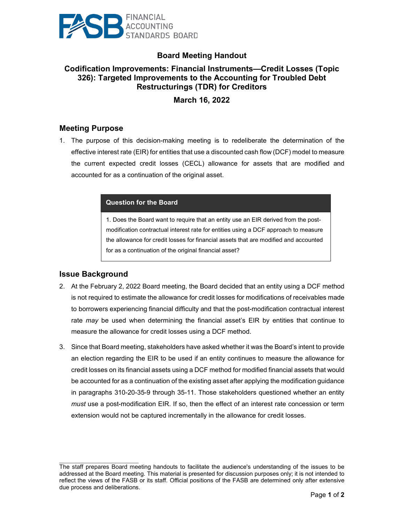

# **Board Meeting Handout**

## **Codification Improvements: Financial Instruments—Credit Losses (Topic 326): Targeted Improvements to the Accounting for Troubled Debt Restructurings (TDR) for Creditors**

**March 16, 2022**

#### **Meeting Purpose**

1. The purpose of this decision-making meeting is to redeliberate the determination of the effective interest rate (EIR) for entities that use a discounted cash flow (DCF) model to measure the current expected credit losses (CECL) allowance for assets that are modified and accounted for as a continuation of the original asset.

#### **Question for the Board**

1. Does the Board want to require that an entity use an EIR derived from the postmodification contractual interest rate for entities using a DCF approach to measure the allowance for credit losses for financial assets that are modified and accounted for as a continuation of the original financial asset?

#### **Issue Background**

 $\mathcal{L}_\text{max}$  , where  $\mathcal{L}_\text{max}$  and  $\mathcal{L}_\text{max}$ 

- 2. At the February 2, 2022 Board meeting, the Board decided that an entity using a DCF method is not required to estimate the allowance for credit losses for modifications of receivables made to borrowers experiencing financial difficulty and that the post-modification contractual interest rate *may* be used when determining the financial asset's EIR by entities that continue to measure the allowance for credit losses using a DCF method.
- 3. Since that Board meeting, stakeholders have asked whether it was the Board's intent to provide an election regarding the EIR to be used if an entity continues to measure the allowance for credit losses on its financial assets using a DCF method for modified financial assets that would be accounted for as a continuation of the existing asset after applying the modification guidance in paragraphs 310-20-35-9 through 35-11. Those stakeholders questioned whether an entity *must* use a post-modification EIR. If so, then the effect of an interest rate concession or term extension would not be captured incrementally in the allowance for credit losses.

The staff prepares Board meeting handouts to facilitate the audience's understanding of the issues to be addressed at the Board meeting. This material is presented for discussion purposes only; it is not intended to reflect the views of the FASB or its staff. Official positions of the FASB are determined only after extensive due process and deliberations.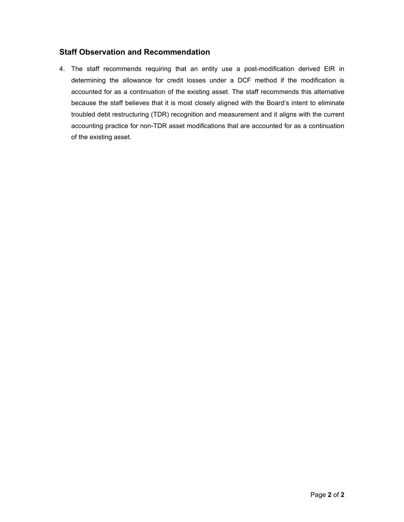## **Staff Observation and Recommendation**

4. The staff recommends requiring that an entity use a post-modification derived EIR in determining the allowance for credit losses under a DCF method if the modification is accounted for as a continuation of the existing asset. The staff recommends this alternative because the staff believes that it is most closely aligned with the Board's intent to eliminate troubled debt restructuring (TDR) recognition and measurement and it aligns with the current accounting practice for non-TDR asset modifications that are accounted for as a continuation of the existing asset.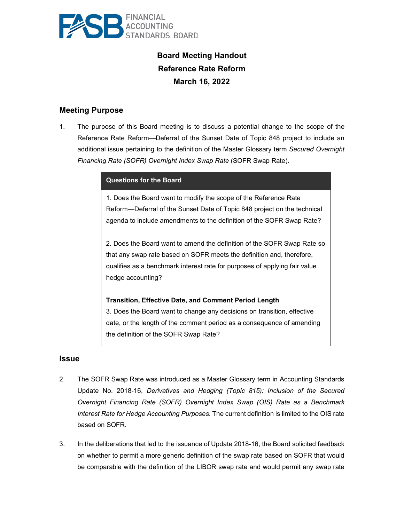

# **Board Meeting Handout Reference Rate Reform March 16, 2022**

## **Meeting Purpose**

1. The purpose of this Board meeting is to discuss a potential change to the scope of the Reference Rate Reform—Deferral of the Sunset Date of Topic 848 project to include an additional issue pertaining to the definition of the Master Glossary term *Secured Overnight Financing Rate (SOFR) Overnight Index Swap Rate* (SOFR Swap Rate).

| <b>Questions for the Board</b>                                             |
|----------------------------------------------------------------------------|
| 1. Does the Board want to modify the scope of the Reference Rate           |
| Reform---Deferral of the Sunset Date of Topic 848 project on the technical |
| agenda to include amendments to the definition of the SOFR Swap Rate?      |

2. Does the Board want to amend the definition of the SOFR Swap Rate so that any swap rate based on SOFR meets the definition and, therefore, qualifies as a benchmark interest rate for purposes of applying fair value hedge accounting?

**Transition, Effective Date, and Comment Period Length** 3. Does the Board want to change any decisions on transition, effective date, or the length of the comment period as a consequence of amending the definition of the SOFR Swap Rate?

#### **Issue**

- 2. The SOFR Swap Rate was introduced as a Master Glossary term in Accounting Standards Update No. 2018-16, *Derivatives and Hedging (Topic 815): Inclusion of the Secured Overnight Financing Rate (SOFR) Overnight Index Swap (OIS) Rate as a Benchmark Interest Rate for Hedge Accounting Purposes.* The current definition is limited to the OIS rate based on SOFR.
- 3. In the deliberations that led to the issuance of Update 2018-16, the Board solicited feedback on whether to permit a more generic definition of the swap rate based on SOFR that would be comparable with the definition of the LIBOR swap rate and would permit any swap rate